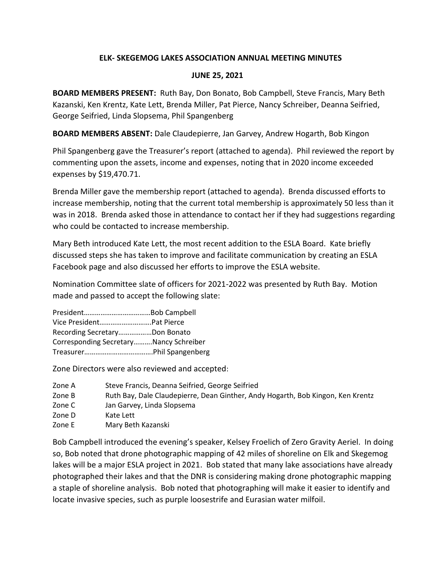## **ELK- SKEGEMOG LAKES ASSOCIATION ANNUAL MEETING MINUTES**

## **JUNE 25, 2021**

**BOARD MEMBERS PRESENT:** Ruth Bay, Don Bonato, Bob Campbell, Steve Francis, Mary Beth Kazanski, Ken Krentz, Kate Lett, Brenda Miller, Pat Pierce, Nancy Schreiber, Deanna Seifried, George Seifried, Linda Slopsema, Phil Spangenberg

**BOARD MEMBERS ABSENT:** Dale Claudepierre, Jan Garvey, Andrew Hogarth, Bob Kingon

Phil Spangenberg gave the Treasurer's report (attached to agenda). Phil reviewed the report by commenting upon the assets, income and expenses, noting that in 2020 income exceeded expenses by \$19,470.71.

Brenda Miller gave the membership report (attached to agenda). Brenda discussed efforts to increase membership, noting that the current total membership is approximately 50 less than it was in 2018. Brenda asked those in attendance to contact her if they had suggestions regarding who could be contacted to increase membership.

Mary Beth introduced Kate Lett, the most recent addition to the ESLA Board. Kate briefly discussed steps she has taken to improve and facilitate communication by creating an ESLA Facebook page and also discussed her efforts to improve the ESLA website.

Nomination Committee slate of officers for 2021-2022 was presented by Ruth Bay. Motion made and passed to accept the following slate:

President………………………………Bob Campbell Vice President……………………….Pat Pierce Recording Secretary………………Don Bonato Corresponding Secretary……….Nancy Schreiber Treasurer……………………………….Phil Spangenberg

Zone Directors were also reviewed and accepted:

- Zone A Steve Francis, Deanna Seifried, George Seifried
- Zone B Ruth Bay, Dale Claudepierre, Dean Ginther, Andy Hogarth, Bob Kingon, Ken Krentz
- Zone C Jan Garvey, Linda Slopsema
- Zone D Kate Lett
- Zone E Mary Beth Kazanski

Bob Campbell introduced the evening's speaker, Kelsey Froelich of Zero Gravity Aeriel. In doing so, Bob noted that drone photographic mapping of 42 miles of shoreline on Elk and Skegemog lakes will be a major ESLA project in 2021. Bob stated that many lake associations have already photographed their lakes and that the DNR is considering making drone photographic mapping a staple of shoreline analysis. Bob noted that photographing will make it easier to identify and locate invasive species, such as purple loosestrife and Eurasian water milfoil.